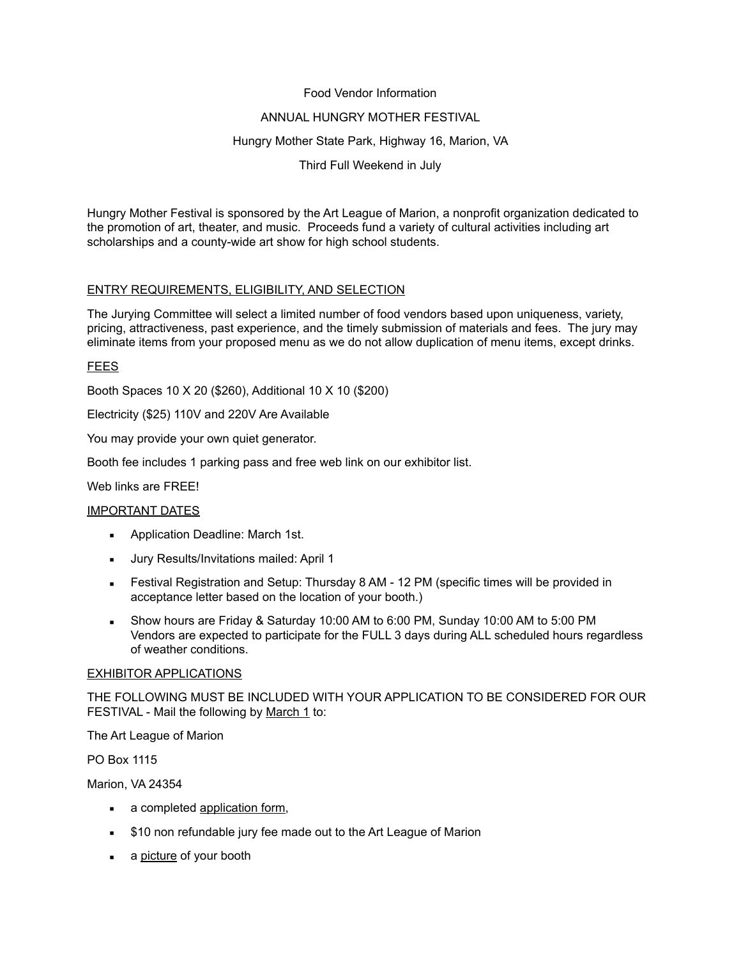### Food Vendor Information

## ANNUAL HUNGRY MOTHER FESTIVAL

## Hungry Mother State Park, Highway 16, Marion, VA

Third Full Weekend in July

Hungry Mother Festival is sponsored by the Art League of Marion, a nonprofit organization dedicated to the promotion of art, theater, and music. Proceeds fund a variety of cultural activities including art scholarships and a county-wide art show for high school students.

# ENTRY REQUIREMENTS, ELIGIBILITY, AND SELECTION

The Jurying Committee will select a limited number of food vendors based upon uniqueness, variety, pricing, attractiveness, past experience, and the timely submission of materials and fees. The jury may eliminate items from your proposed menu as we do not allow duplication of menu items, except drinks.

## **FEES**

Booth Spaces 10 X 20 (\$260), Additional 10 X 10 (\$200)

Electricity (\$25) 110V and 220V Are Available

You may provide your own quiet generator.

Booth fee includes 1 parking pass and free web link on our exhibitor list.

Web links are FREE!

### IMPORTANT DATES

- **Application Deadline: March 1st.**
- Jury Results/Invitations mailed: April 1
- **E** Festival Registration and Setup: Thursday 8 AM 12 PM (specific times will be provided in acceptance letter based on the location of your booth.)
- Show hours are Friday & Saturday 10:00 AM to 6:00 PM, Sunday 10:00 AM to 5:00 PM Vendors are expected to participate for the FULL 3 days during ALL scheduled hours regardless of weather conditions.

### EXHIBITOR APPLICATIONS

THE FOLLOWING MUST BE INCLUDED WITH YOUR APPLICATION TO BE CONSIDERED FOR OUR FESTIVAL - Mail the following by March 1 to:

The Art League of Marion

PO Box 1115

Marion, VA 24354

- a completed application form,
- **.** \$10 non refundable jury fee made out to the Art League of Marion
- a picture of your booth